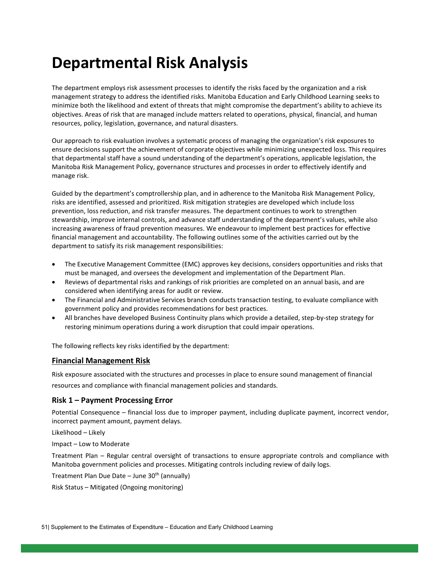# **Departmental Risk Analysis**

The department employs risk assessment processes to identify the risks faced by the organization and a risk management strategy to address the identified risks. Manitoba Education and Early Childhood Learning seeks to minimize both the likelihood and extent of threats that might compromise the department's ability to achieve its objectives. Areas of risk that are managed include matters related to operations, physical, financial, and human resources, policy, legislation, governance, and natural disasters.

Our approach to risk evaluation involves a systematic process of managing the organization's risk exposures to ensure decisions support the achievement of corporate objectives while minimizing unexpected loss. This requires that departmental staff have a sound understanding of the department's operations, applicable legislation, the Manitoba Risk Management Policy, governance structures and processes in order to effectively identify and manage risk.

Guided by the department's comptrollership plan, and in adherence to the Manitoba Risk Management Policy, risks are identified, assessed and prioritized. Risk mitigation strategies are developed which include loss prevention, loss reduction, and risk transfer measures. The department continues to work to strengthen stewardship, improve internal controls, and advance staff understanding of the department's values, while also increasing awareness of fraud prevention measures. We endeavour to implement best practices for effective financial management and accountability. The following outlines some of the activities carried out by the department to satisfy its risk management responsibilities:

- The Executive Management Committee (EMC) approves key decisions, considers opportunities and risks that must be managed, and oversees the development and implementation of the Department Plan.
- Reviews of departmental risks and rankings of risk priorities are completed on an annual basis, and are considered when identifying areas for audit or review.
- The Financial and Administrative Services branch conducts transaction testing, to evaluate compliance with government policy and provides recommendations for best practices.
- All branches have developed Business Continuity plans which provide a detailed, step-by-step strategy for restoring minimum operations during a work disruption that could impair operations.

The following reflects key risks identified by the department:

#### **Financial Management Risk**

Risk exposure associated with the structures and processes in place to ensure sound management of financial resources and compliance with financial management policies and standards.

# **Risk 1 – Payment Processing Error**

Potential Consequence – financial loss due to improper payment, including duplicate payment, incorrect vendor, incorrect payment amount, payment delays.

Likelihood – Likely

Impact – Low to Moderate

Treatment Plan – Regular central oversight of transactions to ensure appropriate controls and compliance with Manitoba government policies and processes. Mitigating controls including review of daily logs.

Treatment Plan Due Date – June  $30<sup>th</sup>$  (annually)

Risk Status – Mitigated (Ongoing monitoring)